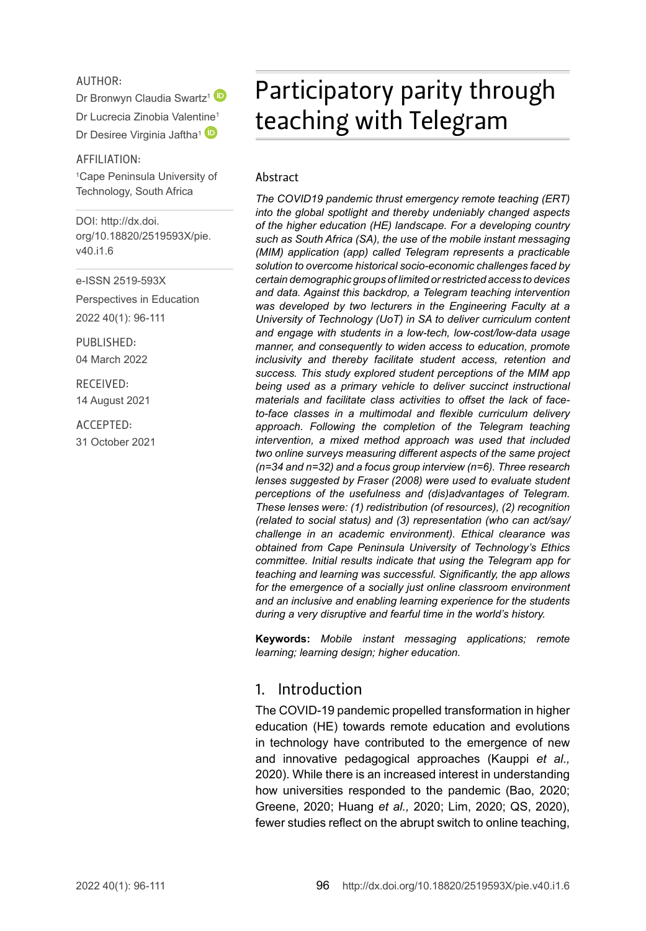#### AUTHOR:

Dr Bronwyn Claudia Swartz<sup>[1](http://orcid.org/0000-0003-0752-7211)</sup>

Dr Lucrecia Zinobia Valent[ine](http://orcid.org/0000-0002-2152-4570)<sup>1</sup>

Dr Desiree Virginia Jaftha<sup>1</sup>

AFFILIATION:

1 Cape Peninsula University of Technology, South Africa

DOI: [http://dx.doi.](http://dx.doi.org/10.18820/2519593X/pie.v40.i1.6) [org/10.18820/2519593X/p](http://dx.doi.org/10.18820/2519593X/pie.v40.i1.6)ie. v40.i1.6

e-ISSN 2519-593X

Perspectives in Education 2022 40(1): 96-111

PUBLISHED: 04 March 2022

RECEIVED: 14 August 2021

ACCEPTED: 31 October 2021

# Participatory parity through teaching with Telegram

#### Abstract

*The COVID19 pandemic thrust emergency remote teaching (ERT) into the global spotlight and thereby undeniably changed aspects of the higher education (HE) landscape. For a developing country such as South Africa (SA), the use of the mobile instant messaging (MIM) application (app) called Telegram represents a practicable solution to overcome historical socio-economic challenges faced by certain demographic groups of limited or restricted access to devices and data. Against this backdrop, a Telegram teaching intervention was developed by two lecturers in the Engineering Faculty at a University of Technology (UoT) in SA to deliver curriculum content and engage with students in a low-tech, low-cost/low-data usage manner, and consequently to widen access to education, promote inclusivity and thereby facilitate student access, retention and success. This study explored student perceptions of the MIM app being used as a primary vehicle to deliver succinct instructional materials and facilitate class activities to offset the lack of faceto-face classes in a multimodal and flexible curriculum delivery approach. Following the completion of the Telegram teaching intervention, a mixed method approach was used that included two online surveys measuring different aspects of the same project (n=34 and n=32) and a focus group interview (n=6). Three research lenses suggested by Fraser (2008) were used to evaluate student perceptions of the usefulness and (dis)advantages of Telegram. These lenses were: (1) redistribution (of resources), (2) recognition (related to social status) and (3) representation (who can act/say/ challenge in an academic environment). Ethical clearance was obtained from Cape Peninsula University of Technology's Ethics committee. Initial results indicate that using the Telegram app for teaching and learning was successful. Significantly, the app allows for the emergence of a socially just online classroom environment and an inclusive and enabling learning experience for the students during a very disruptive and fearful time in the world's history.*

**Keywords:** *Mobile instant messaging applications; remote learning; learning design; higher education.*

#### 1. Introduction

The COVID-19 pandemic propelled transformation in higher education (HE) towards remote education and evolutions in technology have contributed to the emergence of new and innovative pedagogical approaches (Kauppi *et al.,* 2020). While there is an increased interest in understanding how universities responded to the pandemic (Bao, 2020; Greene, 2020; Huang *et al.,* 2020; Lim, 2020; QS, 2020), fewer studies reflect on the abrupt switch to online teaching,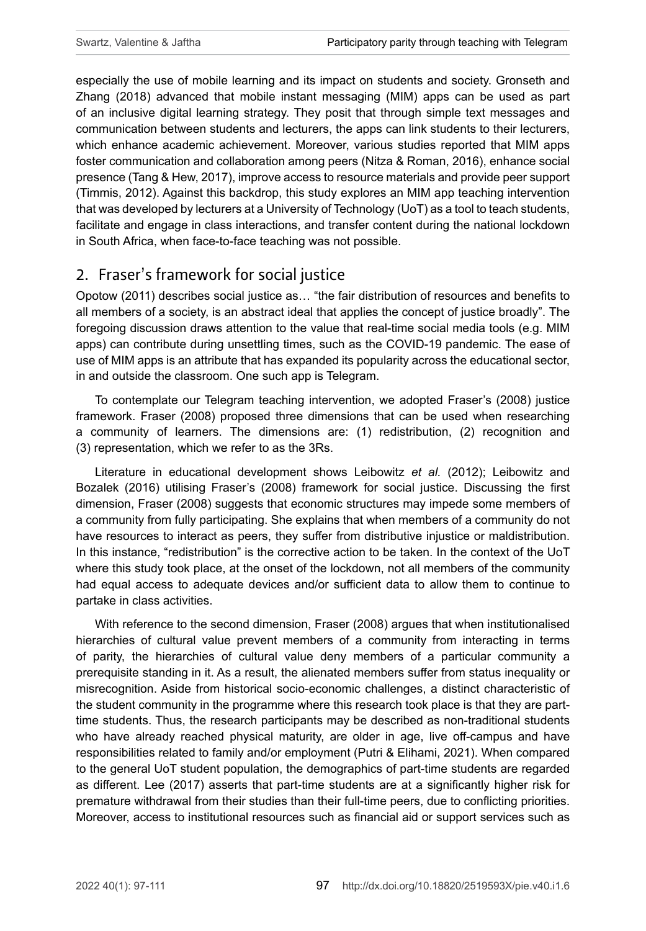especially the use of mobile learning and its impact on students and society. Gronseth and Zhang (2018) advanced that mobile instant messaging (MIM) apps can be used as part of an inclusive digital learning strategy. They posit that through simple text messages and communication between students and lecturers, the apps can link students to their lecturers, which enhance academic achievement. Moreover, various studies reported that MIM apps foster communication and collaboration among peers (Nitza & Roman, 2016), enhance social presence (Tang & Hew, 2017), improve access to resource materials and provide peer support (Timmis, 2012). Against this backdrop, this study explores an MIM app teaching intervention that was developed by lecturers at a University of Technology (UoT) as a tool to teach students, facilitate and engage in class interactions, and transfer content during the national lockdown in South Africa, when face-to-face teaching was not possible.

# 2. Fraser's framework for social justice

Opotow (2011) describes social justice as… "the fair distribution of resources and benefits to all members of a society, is an abstract ideal that applies the concept of justice broadly". The foregoing discussion draws attention to the value that real-time social media tools (e.g. MIM apps) can contribute during unsettling times, such as the COVID-19 pandemic. The ease of use of MIM apps is an attribute that has expanded its popularity across the educational sector, in and outside the classroom. One such app is Telegram.

To contemplate our Telegram teaching intervention, we adopted Fraser's (2008) justice framework. Fraser (2008) proposed three dimensions that can be used when researching a community of learners. The dimensions are: (1) redistribution, (2) recognition and (3) representation, which we refer to as the 3Rs.

Literature in educational development shows Leibowitz *et al.* (2012); Leibowitz and Bozalek (2016) utilising Fraser's (2008) framework for social justice. Discussing the first dimension, Fraser (2008) suggests that economic structures may impede some members of a community from fully participating. She explains that when members of a community do not have resources to interact as peers, they suffer from distributive injustice or maldistribution. In this instance, "redistribution" is the corrective action to be taken. In the context of the UoT where this study took place, at the onset of the lockdown, not all members of the community had equal access to adequate devices and/or sufficient data to allow them to continue to partake in class activities.

With reference to the second dimension, Fraser (2008) argues that when institutionalised hierarchies of cultural value prevent members of a community from interacting in terms of parity, the hierarchies of cultural value deny members of a particular community a prerequisite standing in it. As a result, the alienated members suffer from status inequality or misrecognition. Aside from historical socio-economic challenges, a distinct characteristic of the student community in the programme where this research took place is that they are parttime students. Thus, the research participants may be described as non-traditional students who have already reached physical maturity, are older in age, live off-campus and have responsibilities related to family and/or employment (Putri & Elihami, 2021). When compared to the general UoT student population, the demographics of part-time students are regarded as different. Lee (2017) asserts that part-time students are at a significantly higher risk for premature withdrawal from their studies than their full‑time peers, due to conflicting priorities. Moreover, access to institutional resources such as financial aid or support services such as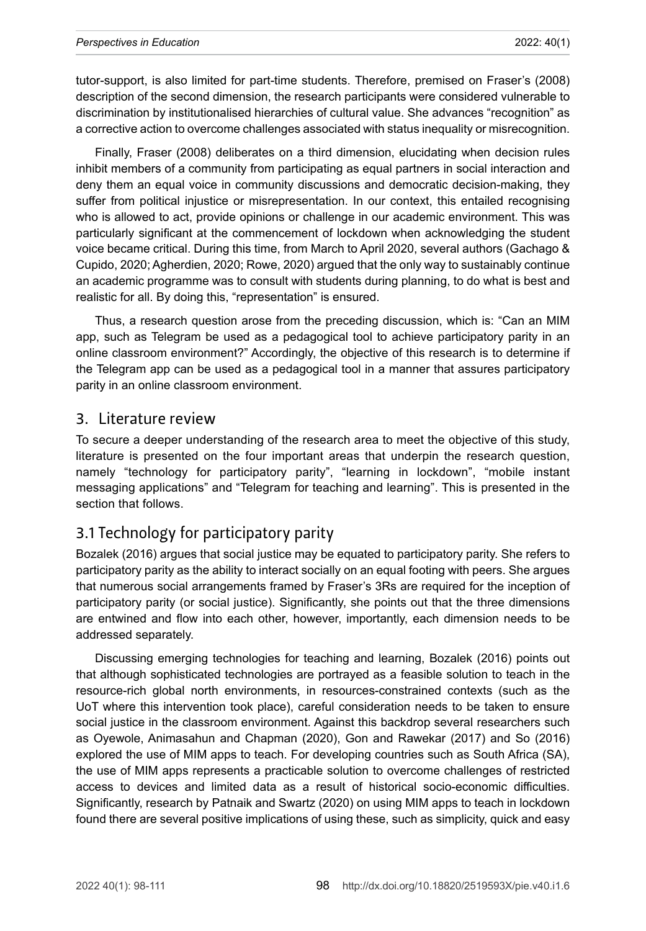tutor-support, is also limited for part-time students. Therefore, premised on Fraser's (2008) description of the second dimension, the research participants were considered vulnerable to discrimination by institutionalised hierarchies of cultural value. She advances "recognition" as a corrective action to overcome challenges associated with status inequality or misrecognition.

Finally, Fraser (2008) deliberates on a third dimension, elucidating when decision rules inhibit members of a community from participating as equal partners in social interaction and deny them an equal voice in community discussions and democratic decision-making, they suffer from political injustice or misrepresentation. In our context, this entailed recognising who is allowed to act, provide opinions or challenge in our academic environment. This was particularly significant at the commencement of lockdown when acknowledging the student voice became critical. During this time, from March to April 2020, several authors (Gachago & Cupido, 2020; Agherdien, 2020; Rowe, 2020) argued that the only way to sustainably continue an academic programme was to consult with students during planning, to do what is best and realistic for all. By doing this, "representation" is ensured.

Thus, a research question arose from the preceding discussion, which is: "Can an MIM app, such as Telegram be used as a pedagogical tool to achieve participatory parity in an online classroom environment?" Accordingly, the objective of this research is to determine if the Telegram app can be used as a pedagogical tool in a manner that assures participatory parity in an online classroom environment.

#### 3. Literature review

To secure a deeper understanding of the research area to meet the objective of this study, literature is presented on the four important areas that underpin the research question, namely "technology for participatory parity", "learning in lockdown", "mobile instant messaging applications" and "Telegram for teaching and learning". This is presented in the section that follows.

# 3.1 Technology for participatory parity

Bozalek (2016) argues that social justice may be equated to participatory parity. She refers to participatory parity as the ability to interact socially on an equal footing with peers. She argues that numerous social arrangements framed by Fraser's 3Rs are required for the inception of participatory parity (or social justice). Significantly, she points out that the three dimensions are entwined and flow into each other, however, importantly, each dimension needs to be addressed separately.

Discussing emerging technologies for teaching and learning, Bozalek (2016) points out that although sophisticated technologies are portrayed as a feasible solution to teach in the resource-rich global north environments, in resources-constrained contexts (such as the UoT where this intervention took place), careful consideration needs to be taken to ensure social justice in the classroom environment. Against this backdrop several researchers such as Oyewole, Animasahun and Chapman (2020), Gon and Rawekar (2017) and So (2016) explored the use of MIM apps to teach. For developing countries such as South Africa (SA), the use of MIM apps represents a practicable solution to overcome challenges of restricted access to devices and limited data as a result of historical socio-economic difficulties. Significantly, research by Patnaik and Swartz (2020) on using MIM apps to teach in lockdown found there are several positive implications of using these, such as simplicity, quick and easy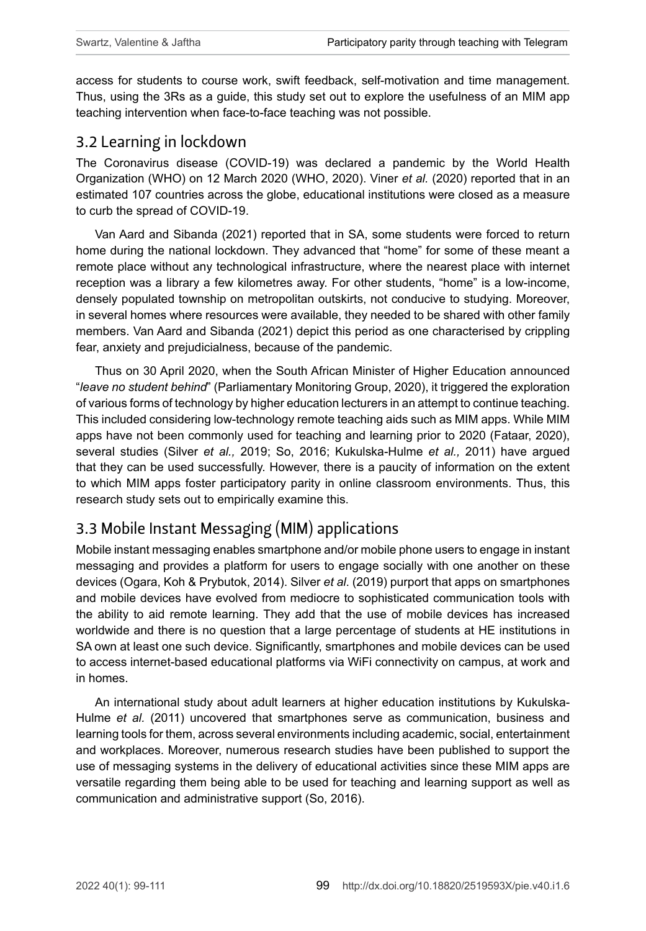access for students to course work, swift feedback, self-motivation and time management. Thus, using the 3Rs as a guide, this study set out to explore the usefulness of an MIM app teaching intervention when face-to-face teaching was not possible.

## 3.2 Learning in lockdown

The Coronavirus disease (COVID-19) was declared a pandemic by the World Health Organization (WHO) on 12 March 2020 (WHO, 2020). Viner *et al.* (2020) reported that in an estimated 107 countries across the globe, educational institutions were closed as a measure to curb the spread of COVID-19.

Van Aard and Sibanda (2021) reported that in SA, some students were forced to return home during the national lockdown. They advanced that "home" for some of these meant a remote place without any technological infrastructure, where the nearest place with internet reception was a library a few kilometres away. For other students, "home" is a low-income, densely populated township on metropolitan outskirts, not conducive to studying. Moreover, in several homes where resources were available, they needed to be shared with other family members. Van Aard and Sibanda (2021) depict this period as one characterised by crippling fear, anxiety and prejudicialness, because of the pandemic.

Thus on 30 April 2020, when the South African Minister of Higher Education announced "*leave no student behind*" (Parliamentary Monitoring Group, 2020), it triggered the exploration of various forms of technology by higher education lecturers in an attempt to continue teaching. This included considering low-technology remote teaching aids such as MIM apps. While MIM apps have not been commonly used for teaching and learning prior to 2020 (Fataar, 2020), several studies (Silver *et al.,* 2019; So, 2016; Kukulska-Hulme *et al.,* 2011) have argued that they can be used successfully. However, there is a paucity of information on the extent to which MIM apps foster participatory parity in online classroom environments. Thus, this research study sets out to empirically examine this.

# 3.3 Mobile Instant Messaging (MIM) applications

Mobile instant messaging enables smartphone and/or mobile phone users to engage in instant messaging and provides a platform for users to engage socially with one another on these devices (Ogara, Koh & Prybutok, 2014). Silver *et al*. (2019) purport that apps on smartphones and mobile devices have evolved from mediocre to sophisticated communication tools with the ability to aid remote learning. They add that the use of mobile devices has increased worldwide and there is no question that a large percentage of students at HE institutions in SA own at least one such device. Significantly, smartphones and mobile devices can be used to access internet-based educational platforms via WiFi connectivity on campus, at work and in homes.

An international study about adult learners at higher education institutions by Kukulska-Hulme *et al.* (2011) uncovered that smartphones serve as communication, business and learning tools for them, across several environments including academic, social, entertainment and workplaces. Moreover, numerous research studies have been published to support the use of messaging systems in the delivery of educational activities since these MIM apps are versatile regarding them being able to be used for teaching and learning support as well as communication and administrative support (So, 2016).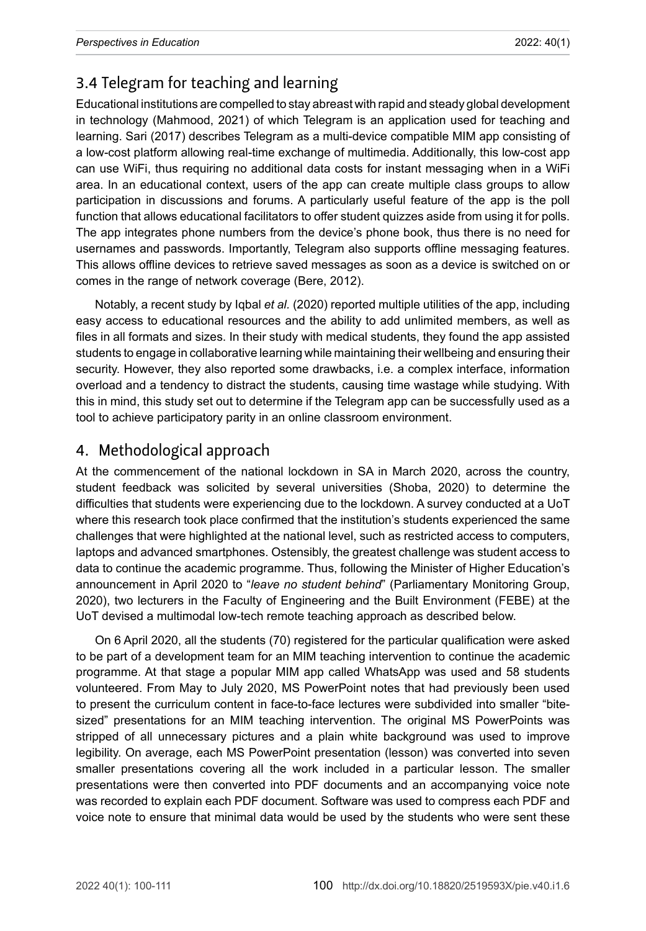# 3.4 Telegram for teaching and learning

Educational institutions are compelled to stay abreast with rapid and steady global development in technology (Mahmood, 2021) of which Telegram is an application used for teaching and learning. Sari (2017) describes Telegram as a multi-device compatible MIM app consisting of a low-cost platform allowing real-time exchange of multimedia. Additionally, this low-cost app can use WiFi, thus requiring no additional data costs for instant messaging when in a WiFi area. In an educational context, users of the app can create multiple class groups to allow participation in discussions and forums. A particularly useful feature of the app is the poll function that allows educational facilitators to offer student quizzes aside from using it for polls. The app integrates phone numbers from the device's phone book, thus there is no need for usernames and passwords. Importantly, Telegram also supports offline messaging features. This allows offline devices to retrieve saved messages as soon as a device is switched on or comes in the range of network coverage (Bere, 2012).

Notably, a recent study by Igbal *et al.* (2020) reported multiple utilities of the app, including easy access to educational resources and the ability to add unlimited members, as well as files in all formats and sizes. In their study with medical students, they found the app assisted students to engage in collaborative learning while maintaining their wellbeing and ensuring their security. However, they also reported some drawbacks, i.e. a complex interface, information overload and a tendency to distract the students, causing time wastage while studying. With this in mind, this study set out to determine if the Telegram app can be successfully used as a tool to achieve participatory parity in an online classroom environment.

# 4. Methodological approach

At the commencement of the national lockdown in SA in March 2020, across the country, student feedback was solicited by several universities (Shoba, 2020) to determine the difficulties that students were experiencing due to the lockdown. A survey conducted at a UoT where this research took place confirmed that the institution's students experienced the same challenges that were highlighted at the national level, such as restricted access to computers, laptops and advanced smartphones. Ostensibly, the greatest challenge was student access to data to continue the academic programme. Thus, following the Minister of Higher Education's announcement in April 2020 to "*leave no student behind*" (Parliamentary Monitoring Group, 2020), two lecturers in the Faculty of Engineering and the Built Environment (FEBE) at the UoT devised a multimodal low-tech remote teaching approach as described below.

On 6 April 2020, all the students (70) registered for the particular qualification were asked to be part of a development team for an MIM teaching intervention to continue the academic programme. At that stage a popular MIM app called WhatsApp was used and 58 students volunteered. From May to July 2020, MS PowerPoint notes that had previously been used to present the curriculum content in face-to-face lectures were subdivided into smaller "bitesized" presentations for an MIM teaching intervention. The original MS PowerPoints was stripped of all unnecessary pictures and a plain white background was used to improve legibility. On average, each MS PowerPoint presentation (lesson) was converted into seven smaller presentations covering all the work included in a particular lesson. The smaller presentations were then converted into PDF documents and an accompanying voice note was recorded to explain each PDF document. Software was used to compress each PDF and voice note to ensure that minimal data would be used by the students who were sent these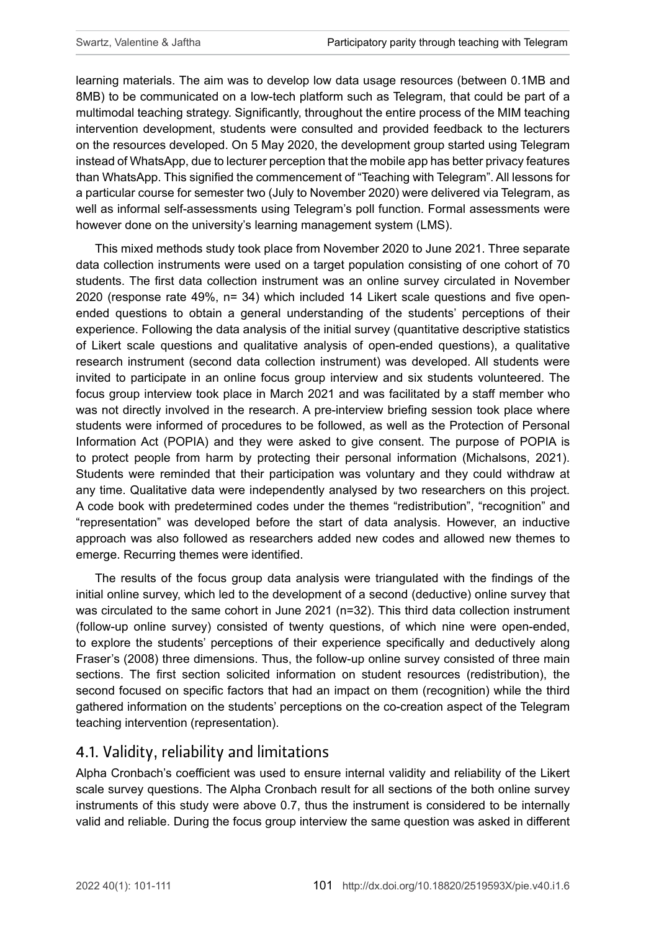learning materials. The aim was to develop low data usage resources (between 0.1MB and 8MB) to be communicated on a low-tech platform such as Telegram, that could be part of a multimodal teaching strategy. Significantly, throughout the entire process of the MIM teaching intervention development, students were consulted and provided feedback to the lecturers on the resources developed. On 5 May 2020, the development group started using Telegram instead of WhatsApp, due to lecturer perception that the mobile app has better privacy features than WhatsApp. This signified the commencement of "Teaching with Telegram". All lessons for a particular course for semester two (July to November 2020) were delivered via Telegram, as well as informal self-assessments using Telegram's poll function. Formal assessments were however done on the university's learning management system (LMS).

This mixed methods study took place from November 2020 to June 2021. Three separate data collection instruments were used on a target population consisting of one cohort of 70 students. The first data collection instrument was an online survey circulated in November 2020 (response rate 49%, n= 34) which included 14 Likert scale questions and five openended questions to obtain a general understanding of the students' perceptions of their experience. Following the data analysis of the initial survey (quantitative descriptive statistics of Likert scale questions and qualitative analysis of open-ended questions), a qualitative research instrument (second data collection instrument) was developed. All students were invited to participate in an online focus group interview and six students volunteered. The focus group interview took place in March 2021 and was facilitated by a staff member who was not directly involved in the research. A pre-interview briefing session took place where students were informed of procedures to be followed, as well as the Protection of Personal Information Act (POPIA) and they were asked to give consent. The purpose of POPIA is to protect people from harm by protecting their personal information (Michalsons, 2021). Students were reminded that their participation was voluntary and they could withdraw at any time. Qualitative data were independently analysed by two researchers on this project. A code book with predetermined codes under the themes "redistribution", "recognition" and "representation" was developed before the start of data analysis. However, an inductive approach was also followed as researchers added new codes and allowed new themes to emerge. Recurring themes were identified.

The results of the focus group data analysis were triangulated with the findings of the initial online survey, which led to the development of a second (deductive) online survey that was circulated to the same cohort in June 2021 (n=32). This third data collection instrument (follow-up online survey) consisted of twenty questions, of which nine were open-ended, to explore the students' perceptions of their experience specifically and deductively along Fraser's (2008) three dimensions. Thus, the follow-up online survey consisted of three main sections. The first section solicited information on student resources (redistribution), the second focused on specific factors that had an impact on them (recognition) while the third gathered information on the students' perceptions on the co-creation aspect of the Telegram teaching intervention (representation).

# 4.1. Validity, reliability and limitations

Alpha Cronbach's coefficient was used to ensure internal validity and reliability of the Likert scale survey questions. The Alpha Cronbach result for all sections of the both online survey instruments of this study were above 0.7, thus the instrument is considered to be internally valid and reliable. During the focus group interview the same question was asked in different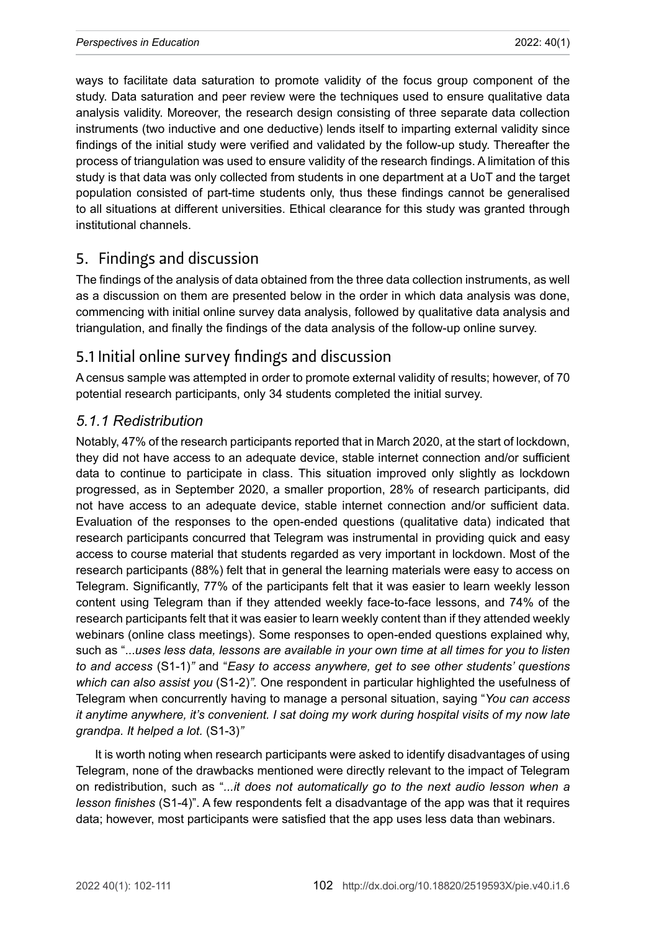ways to facilitate data saturation to promote validity of the focus group component of the study. Data saturation and peer review were the techniques used to ensure qualitative data analysis validity. Moreover, the research design consisting of three separate data collection instruments (two inductive and one deductive) lends itself to imparting external validity since findings of the initial study were verified and validated by the follow-up study. Thereafter the process of triangulation was used to ensure validity of the research findings. A limitation of this study is that data was only collected from students in one department at a UoT and the target population consisted of part-time students only, thus these findings cannot be generalised to all situations at different universities. Ethical clearance for this study was granted through institutional channels.

# 5. Findings and discussion

The findings of the analysis of data obtained from the three data collection instruments, as well as a discussion on them are presented below in the order in which data analysis was done, commencing with initial online survey data analysis, followed by qualitative data analysis and triangulation, and finally the findings of the data analysis of the follow-up online survey.

# 5.1 Initial online survey findings and discussion

A census sample was attempted in order to promote external validity of results; however, of 70 potential research participants, only 34 students completed the initial survey.

### *5.1.1 Redistribution*

Notably, 47% of the research participants reported that in March 2020, at the start of lockdown, they did not have access to an adequate device, stable internet connection and/or sufficient data to continue to participate in class. This situation improved only slightly as lockdown progressed, as in September 2020, a smaller proportion, 28% of research participants, did not have access to an adequate device, stable internet connection and/or sufficient data. Evaluation of the responses to the open-ended questions (qualitative data) indicated that research participants concurred that Telegram was instrumental in providing quick and easy access to course material that students regarded as very important in lockdown. Most of the research participants (88%) felt that in general the learning materials were easy to access on Telegram. Significantly, 77% of the participants felt that it was easier to learn weekly lesson content using Telegram than if they attended weekly face-to-face lessons, and 74% of the research participants felt that it was easier to learn weekly content than if they attended weekly webinars (online class meetings). Some responses to open-ended questions explained why, such as "...*uses less data, lessons are available in your own time at all times for you to listen to and access* (S1-1)*"* and "*Easy to access anywhere, get to see other students' questions which can also assist you* (S1-2)*".* One respondent in particular highlighted the usefulness of Telegram when concurrently having to manage a personal situation, saying "*You can access it anytime anywhere, it's convenient. I sat doing my work during hospital visits of my now late grandpa. It helped a lot.* (S1-3)*"* 

It is worth noting when research participants were asked to identify disadvantages of using Telegram, none of the drawbacks mentioned were directly relevant to the impact of Telegram on redistribution, such as "*...it does not automatically go to the next audio lesson when a lesson finishes* (S1-4)". A few respondents felt a disadvantage of the app was that it requires data; however, most participants were satisfied that the app uses less data than webinars.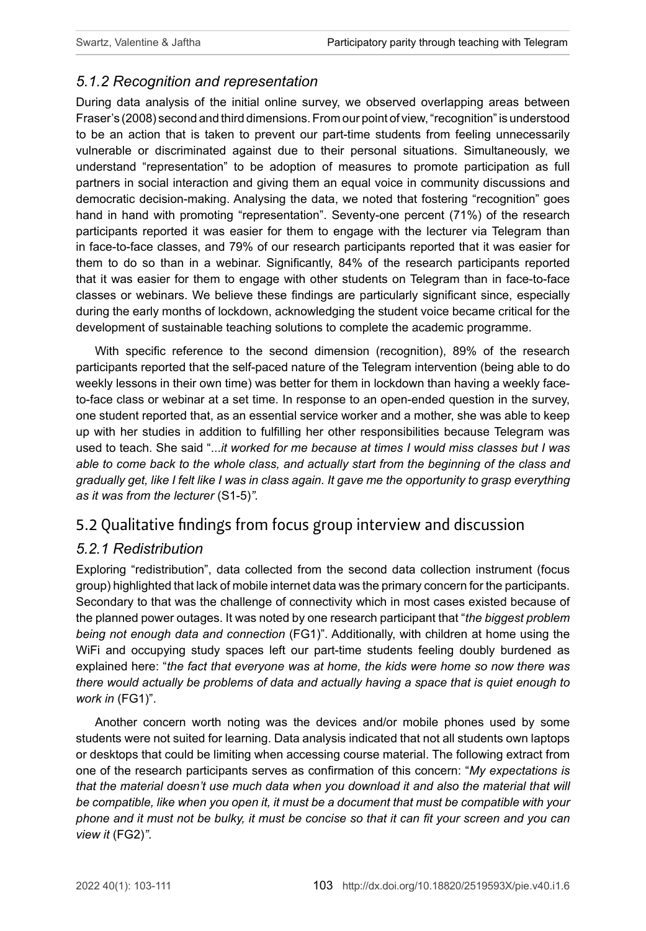#### *5.1.2 Recognition and representation*

During data analysis of the initial online survey, we observed overlapping areas between Fraser's (2008) second and third dimensions. From our point of view, "recognition" is understood to be an action that is taken to prevent our part-time students from feeling unnecessarily vulnerable or discriminated against due to their personal situations. Simultaneously, we understand "representation" to be adoption of measures to promote participation as full partners in social interaction and giving them an equal voice in community discussions and democratic decision-making. Analysing the data, we noted that fostering "recognition" goes hand in hand with promoting "representation". Seventy-one percent (71%) of the research participants reported it was easier for them to engage with the lecturer via Telegram than in face-to-face classes, and 79% of our research participants reported that it was easier for them to do so than in a webinar. Significantly, 84% of the research participants reported that it was easier for them to engage with other students on Telegram than in face-to-face classes or webinars. We believe these findings are particularly significant since, especially during the early months of lockdown, acknowledging the student voice became critical for the development of sustainable teaching solutions to complete the academic programme.

With specific reference to the second dimension (recognition), 89% of the research participants reported that the self-paced nature of the Telegram intervention (being able to do weekly lessons in their own time) was better for them in lockdown than having a weekly faceto-face class or webinar at a set time. In response to an open-ended question in the survey, one student reported that, as an essential service worker and a mother, she was able to keep up with her studies in addition to fulfilling her other responsibilities because Telegram was used to teach. She said "...*it worked for me because at times I would miss classes but I was able to come back to the whole class, and actually start from the beginning of the class and gradually get, like I felt like I was in class again. It gave me the opportunity to grasp everything as it was from the lecturer* (S1-5)*".*

# 5.2 Qualitative findings from focus group interview and discussion

### *5.2.1 Redistribution*

Exploring "redistribution", data collected from the second data collection instrument (focus group) highlighted that lack of mobile internet data was the primary concern for the participants. Secondary to that was the challenge of connectivity which in most cases existed because of the planned power outages. It was noted by one research participant that "*the biggest problem being not enough data and connection* (FG1)". Additionally, with children at home using the WiFi and occupying study spaces left our part-time students feeling doubly burdened as explained here: "*the fact that everyone was at home, the kids were home so now there was there would actually be problems of data and actually having a space that is quiet enough to work in* (FG1)".

Another concern worth noting was the devices and/or mobile phones used by some students were not suited for learning. Data analysis indicated that not all students own laptops or desktops that could be limiting when accessing course material. The following extract from one of the research participants serves as confirmation of this concern: "*My expectations is that the material doesn't use much data when you download it and also the material that will be compatible, like when you open it, it must be a document that must be compatible with your phone and it must not be bulky, it must be concise so that it can fit your screen and you can view it* (FG2)*"*.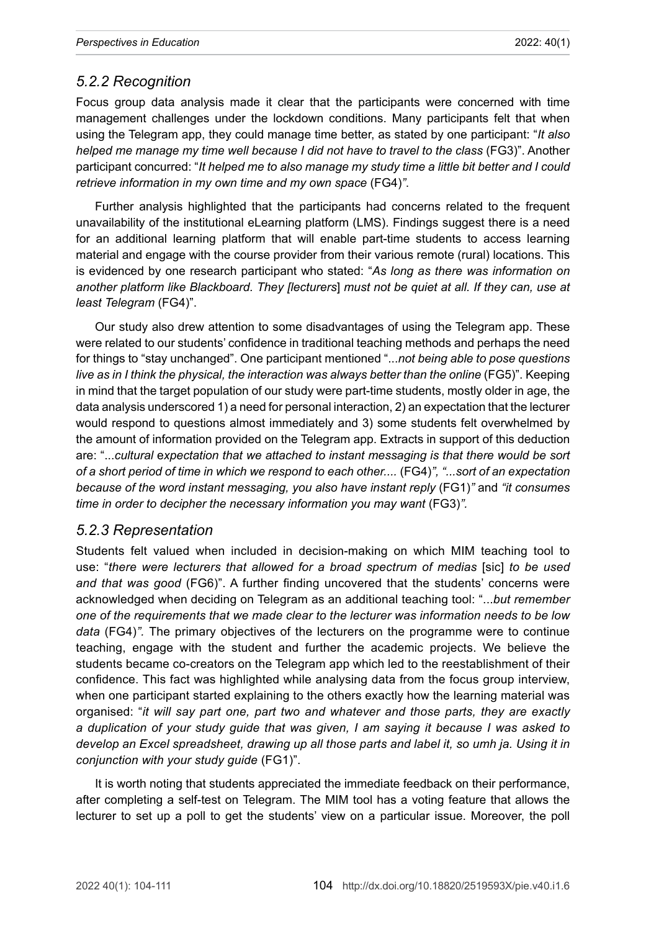#### *5.2.2 Recognition*

Focus group data analysis made it clear that the participants were concerned with time management challenges under the lockdown conditions. Many participants felt that when using the Telegram app, they could manage time better, as stated by one participant: "*It also helped me manage my time well because I did not have to travel to the class* (FG3)". Another participant concurred: "*It helped me to also manage my study time a little bit better and I could retrieve information in my own time and my own space* (FG4)*"*.

Further analysis highlighted that the participants had concerns related to the frequent unavailability of the institutional eLearning platform (LMS). Findings suggest there is a need for an additional learning platform that will enable part-time students to access learning material and engage with the course provider from their various remote (rural) locations. This is evidenced by one research participant who stated: "*As long as there was information on another platform like Blackboard. They [lecturers*] *must not be quiet at all. If they can, use at least Telegram* (FG4)".

Our study also drew attention to some disadvantages of using the Telegram app. These were related to our students' confidence in traditional teaching methods and perhaps the need for things to "stay unchanged". One participant mentioned "...*not being able to pose questions live as in I think the physical, the interaction was always better than the online (FG5)*". Keeping in mind that the target population of our study were part-time students, mostly older in age, the data analysis underscored 1) a need for personal interaction, 2) an expectation that the lecturer would respond to questions almost immediately and 3) some students felt overwhelmed by the amount of information provided on the Telegram app. Extracts in support of this deduction are: "...*cultural* e*xpectation that we attached to instant messaging is that there would be sort of a short period of time in which we respond to each other....* (FG4)*", "...sort of an expectation because of the word instant messaging, you also have instant reply* (FG1)*"* and *"it consumes time in order to decipher the necessary information you may want* (FG3)*".* 

#### *5.2.3 Representation*

Students felt valued when included in decision-making on which MIM teaching tool to use: "*there were lecturers that allowed for a broad spectrum of medias* [sic] *to be used and that was good* (FG6)". A further finding uncovered that the students' concerns were acknowledged when deciding on Telegram as an additional teaching tool: "...*but remember one of the requirements that we made clear to the lecturer was information needs to be low data* (FG4)*".* The primary objectives of the lecturers on the programme were to continue teaching, engage with the student and further the academic projects. We believe the students became co-creators on the Telegram app which led to the reestablishment of their confidence. This fact was highlighted while analysing data from the focus group interview, when one participant started explaining to the others exactly how the learning material was organised: "*it will say part one, part two and whatever and those parts, they are exactly a duplication of your study guide that was given, I am saying it because I was asked to develop an Excel spreadsheet, drawing up all those parts and label it, so umh ja. Using it in conjunction with your study guide* (FG1)".

It is worth noting that students appreciated the immediate feedback on their performance, after completing a self-test on Telegram. The MIM tool has a voting feature that allows the lecturer to set up a poll to get the students' view on a particular issue. Moreover, the poll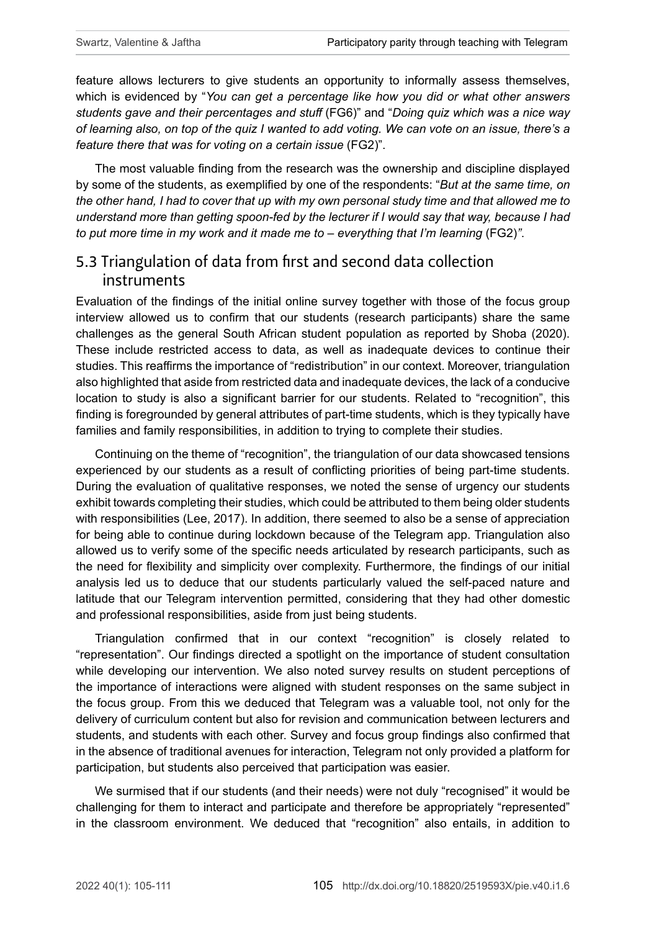feature allows lecturers to give students an opportunity to informally assess themselves, which is evidenced by "*You can get a percentage like how you did or what other answers students gave and their percentages and stuff* (FG6)" and "*Doing quiz which was a nice way of learning also, on top of the quiz I wanted to add voting. We can vote on an issue, there's a feature there that was for voting on a certain issue* (FG2)".

The most valuable finding from the research was the ownership and discipline displayed by some of the students, as exemplified by one of the respondents: "*But at the same time, on the other hand, I had to cover that up with my own personal study time and that allowed me to understand more than getting spoon-fed by the lecturer if I would say that way, because I had to put more time in my work and it made me to – everything that I'm learning (FG2)"*.

# 5.3 Triangulation of data from first and second data collection instruments

Evaluation of the findings of the initial online survey together with those of the focus group interview allowed us to confirm that our students (research participants) share the same challenges as the general South African student population as reported by Shoba (2020). These include restricted access to data, as well as inadequate devices to continue their studies. This reaffirms the importance of "redistribution" in our context. Moreover, triangulation also highlighted that aside from restricted data and inadequate devices, the lack of a conducive location to study is also a significant barrier for our students. Related to "recognition", this finding is foregrounded by general attributes of part-time students, which is they typically have families and family responsibilities, in addition to trying to complete their studies.

Continuing on the theme of "recognition", the triangulation of our data showcased tensions experienced by our students as a result of conflicting priorities of being part-time students. During the evaluation of qualitative responses, we noted the sense of urgency our students exhibit towards completing their studies, which could be attributed to them being older students with responsibilities (Lee, 2017). In addition, there seemed to also be a sense of appreciation for being able to continue during lockdown because of the Telegram app. Triangulation also allowed us to verify some of the specific needs articulated by research participants, such as the need for flexibility and simplicity over complexity. Furthermore, the findings of our initial analysis led us to deduce that our students particularly valued the self-paced nature and latitude that our Telegram intervention permitted, considering that they had other domestic and professional responsibilities, aside from just being students.

Triangulation confirmed that in our context "recognition" is closely related to "representation". Our findings directed a spotlight on the importance of student consultation while developing our intervention. We also noted survey results on student perceptions of the importance of interactions were aligned with student responses on the same subject in the focus group. From this we deduced that Telegram was a valuable tool, not only for the delivery of curriculum content but also for revision and communication between lecturers and students, and students with each other. Survey and focus group findings also confirmed that in the absence of traditional avenues for interaction, Telegram not only provided a platform for participation, but students also perceived that participation was easier.

We surmised that if our students (and their needs) were not duly "recognised" it would be challenging for them to interact and participate and therefore be appropriately "represented" in the classroom environment. We deduced that "recognition" also entails, in addition to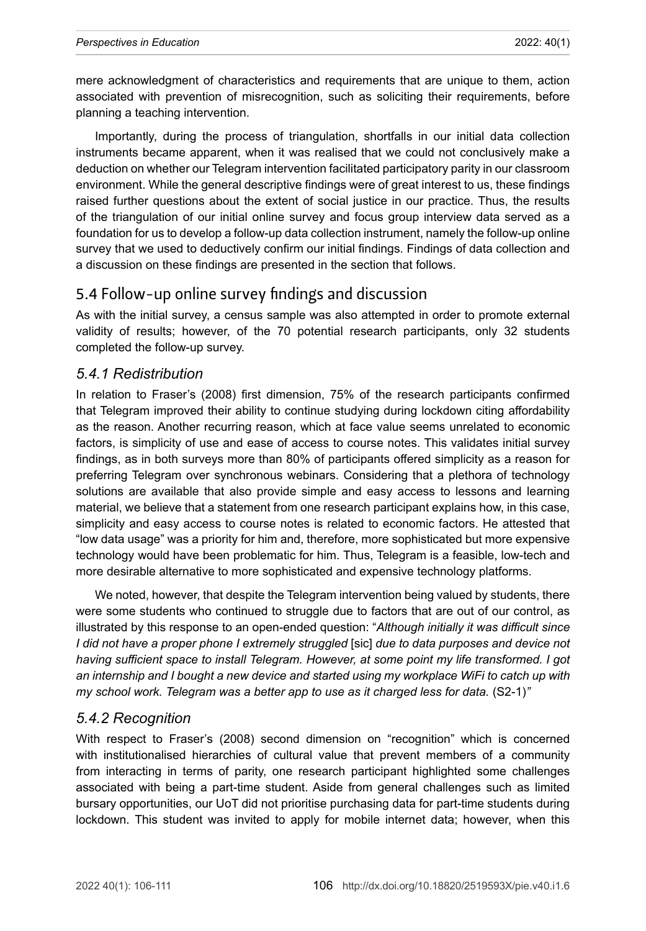mere acknowledgment of characteristics and requirements that are unique to them, action associated with prevention of misrecognition, such as soliciting their requirements, before planning a teaching intervention.

Importantly, during the process of triangulation, shortfalls in our initial data collection instruments became apparent, when it was realised that we could not conclusively make a deduction on whether our Telegram intervention facilitated participatory parity in our classroom environment. While the general descriptive findings were of great interest to us, these findings raised further questions about the extent of social justice in our practice. Thus, the results of the triangulation of our initial online survey and focus group interview data served as a foundation for us to develop a follow-up data collection instrument, namely the follow-up online survey that we used to deductively confirm our initial findings. Findings of data collection and a discussion on these findings are presented in the section that follows.

# 5.4 Follow-up online survey findings and discussion

As with the initial survey, a census sample was also attempted in order to promote external validity of results; however, of the 70 potential research participants, only 32 students completed the follow-up survey.

#### *5.4.1 Redistribution*

In relation to Fraser's (2008) first dimension, 75% of the research participants confirmed that Telegram improved their ability to continue studying during lockdown citing affordability as the reason. Another recurring reason, which at face value seems unrelated to economic factors, is simplicity of use and ease of access to course notes. This validates initial survey findings, as in both surveys more than 80% of participants offered simplicity as a reason for preferring Telegram over synchronous webinars. Considering that a plethora of technology solutions are available that also provide simple and easy access to lessons and learning material, we believe that a statement from one research participant explains how, in this case, simplicity and easy access to course notes is related to economic factors. He attested that "low data usage" was a priority for him and, therefore, more sophisticated but more expensive technology would have been problematic for him. Thus, Telegram is a feasible, low-tech and more desirable alternative to more sophisticated and expensive technology platforms.

We noted, however, that despite the Telegram intervention being valued by students, there were some students who continued to struggle due to factors that are out of our control, as illustrated by this response to an open-ended question: "*Although initially it was difficult since I did not have a proper phone I extremely struggled* [sic] *due to data purposes and device not having sufficient space to install Telegram. However, at some point my life transformed. I got an internship and I bought a new device and started using my workplace WiFi to catch up with my school work. Telegram was a better app to use as it charged less for data.* (S2-1)*"*

#### *5.4.2 Recognition*

With respect to Fraser's (2008) second dimension on "recognition" which is concerned with institutionalised hierarchies of cultural value that prevent members of a community from interacting in terms of parity, one research participant highlighted some challenges associated with being a part-time student. Aside from general challenges such as limited bursary opportunities, our UoT did not prioritise purchasing data for part-time students during lockdown. This student was invited to apply for mobile internet data; however, when this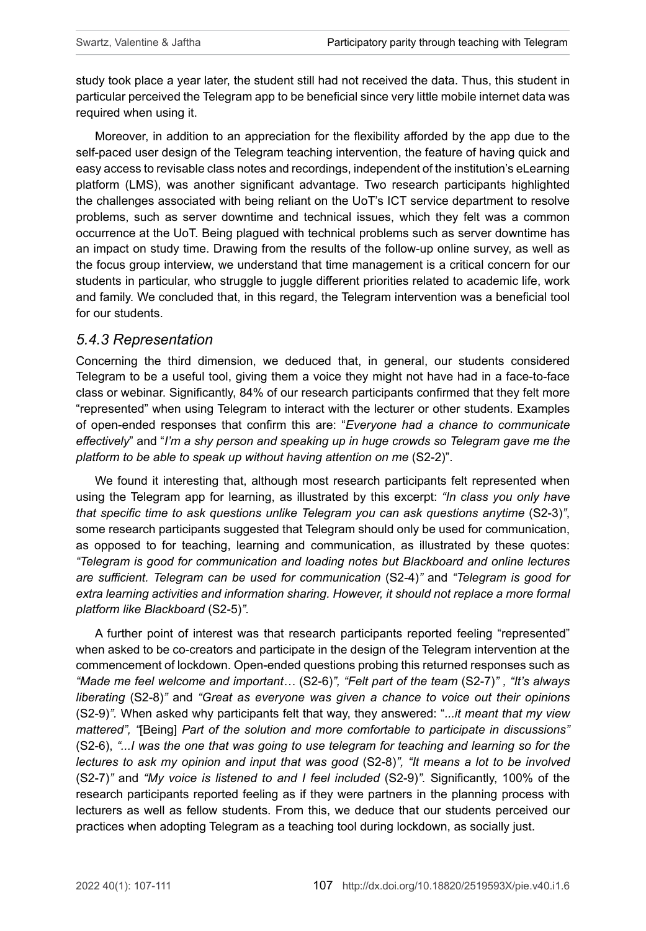study took place a year later, the student still had not received the data. Thus, this student in particular perceived the Telegram app to be beneficial since very little mobile internet data was required when using it.

Moreover, in addition to an appreciation for the flexibility afforded by the app due to the self-paced user design of the Telegram teaching intervention, the feature of having quick and easy access to revisable class notes and recordings, independent of the institution's eLearning platform (LMS), was another significant advantage. Two research participants highlighted the challenges associated with being reliant on the UoT's ICT service department to resolve problems, such as server downtime and technical issues, which they felt was a common occurrence at the UoT. Being plagued with technical problems such as server downtime has an impact on study time. Drawing from the results of the follow-up online survey, as well as the focus group interview, we understand that time management is a critical concern for our students in particular, who struggle to juggle different priorities related to academic life, work and family. We concluded that, in this regard, the Telegram intervention was a beneficial tool for our students.

#### *5.4.3 Representation*

Concerning the third dimension, we deduced that, in general, our students considered Telegram to be a useful tool, giving them a voice they might not have had in a face-to-face class or webinar. Significantly, 84% of our research participants confirmed that they felt more "represented" when using Telegram to interact with the lecturer or other students. Examples of open-ended responses that confirm this are: "*Everyone had a chance to communicate effectively*" and "*I'm a shy person and speaking up in huge crowds so Telegram gave me the platform to be able to speak up without having attention on me* (S2-2)".

We found it interesting that, although most research participants felt represented when using the Telegram app for learning, as illustrated by this excerpt: *"In class you only have that specific time to ask questions unlike Telegram you can ask questions anytime (S2-3)"*, some research participants suggested that Telegram should only be used for communication, as opposed to for teaching, learning and communication, as illustrated by these quotes: *"Telegram is good for communication and loading notes but Blackboard and online lectures are sufficient. Telegram can be used for communication* (S2-4)*"* and *"Telegram is good for extra learning activities and information sharing. However, it should not replace a more formal platform like Blackboard* (S2-5)*".*

A further point of interest was that research participants reported feeling "represented" when asked to be co-creators and participate in the design of the Telegram intervention at the commencement of lockdown. Open-ended questions probing this returned responses such as *"Made me feel welcome and important…* (S2-6)*", "Felt part of the team* (S2-7)*" , "It's always liberating* (S2-8)*"* and *"Great as everyone was given a chance to voice out their opinions*  (S2-9)*".* When asked why participants felt that way, they answered: "*...it meant that my view mattered", "*[Being] *Part of the solution and more comfortable to participate in discussions"*  (S2-6), *"...I was the one that was going to use telegram for teaching and learning so for the lectures to ask my opinion and input that was good* (S2-8)*", "It means a lot to be involved*  (S2-7)*"* and *"My voice is listened to and I feel included* (S2-9)*".* Significantly, 100% of the research participants reported feeling as if they were partners in the planning process with lecturers as well as fellow students. From this, we deduce that our students perceived our practices when adopting Telegram as a teaching tool during lockdown, as socially just.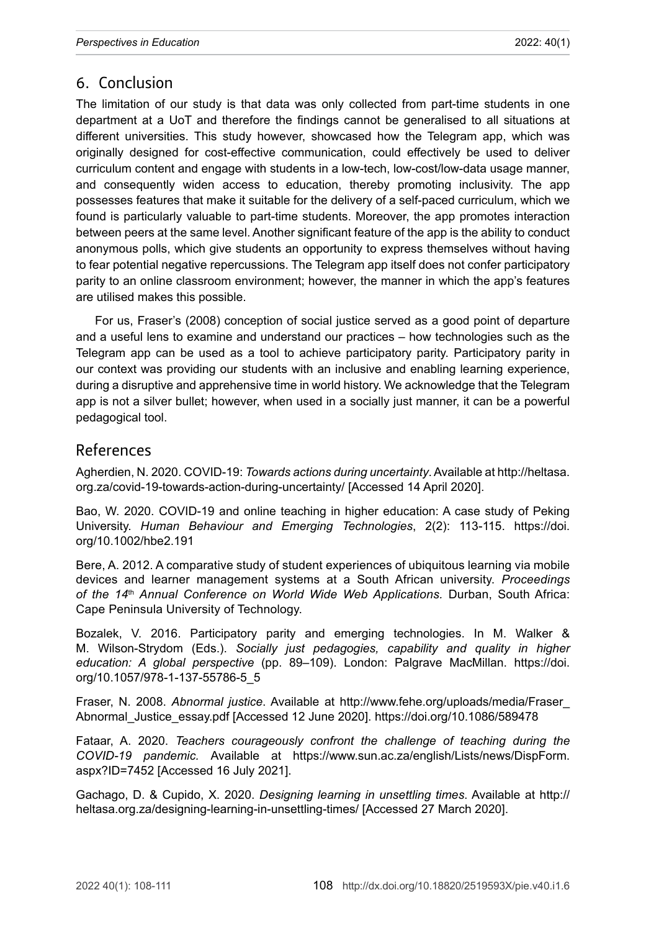## 6. Conclusion

The limitation of our study is that data was only collected from part-time students in one department at a UoT and therefore the findings cannot be generalised to all situations at different universities. This study however, showcased how the Telegram app, which was originally designed for cost-effective communication, could effectively be used to deliver curriculum content and engage with students in a low-tech, low-cost/low-data usage manner, and consequently widen access to education, thereby promoting inclusivity. The app possesses features that make it suitable for the delivery of a self-paced curriculum, which we found is particularly valuable to part-time students. Moreover, the app promotes interaction between peers at the same level. Another significant feature of the app is the ability to conduct anonymous polls, which give students an opportunity to express themselves without having to fear potential negative repercussions. The Telegram app itself does not confer participatory parity to an online classroom environment; however, the manner in which the app's features are utilised makes this possible.

For us, Fraser's (2008) conception of social justice served as a good point of departure and a useful lens to examine and understand our practices – how technologies such as the Telegram app can be used as a tool to achieve participatory parity. Participatory parity in our context was providing our students with an inclusive and enabling learning experience, during a disruptive and apprehensive time in world history. We acknowledge that the Telegram app is not a silver bullet; however, when used in a socially just manner, it can be a powerful pedagogical tool.

### References

Agherdien, N. 2020. COVID-19: *Towards actions during uncertainty*. Available at [http://heltasa.](http://heltasa.org.za/covid-19-towards-action-during-uncertainty/) [org.za/covid-19-towards-action-during-uncertainty/](http://heltasa.org.za/covid-19-towards-action-during-uncertainty/) [Accessed 14 April 2020].

Bao, W. 2020. COVID-19 and online teaching in higher education: A case study of Peking University. *Human Behaviour and Emerging Technologies*, 2(2): 113-115. [https://doi.](https://doi.org/10.1002/hbe2.191) [org/10.1002/hbe2.191](https://doi.org/10.1002/hbe2.191)

Bere, A. 2012. A comparative study of student experiences of ubiquitous learning via mobile devices and learner management systems at a South African university. *Proceedings of the 14*th *Annual Conference on World Wide Web Applications.* Durban, South Africa: Cape Peninsula University of Technology.

Bozalek, V. 2016. Participatory parity and emerging technologies. In M. Walker & M. Wilson-Strydom (Eds.). *Socially just pedagogies, capability and quality in higher education: A global perspective* (pp. 89–109). London: Palgrave MacMillan. [https://doi.](https://doi.org/10.1057/978-1-137-55786-5_5) [org/10.1057/978-1-137-55786-5\\_5](https://doi.org/10.1057/978-1-137-55786-5_5)

Fraser, N. 2008. *Abnormal justice*. Available at [http://www.fehe.org/uploads/media/Fraser\\_](http://www.fehe.org/uploads/media/Fraser_Abnormal_Justice_essay.pdf) [Abnormal\\_Justice\\_essay.pdf](http://www.fehe.org/uploads/media/Fraser_Abnormal_Justice_essay.pdf) [Accessed 12 June 2020]. <https://doi.org/10.1086/589478>

Fataar, A. 2020. *Teachers courageously confront the challenge of teaching during the COVID-19 pandemic.* Available at [https://www.sun.ac.za/english/Lists/news/DispForm.](https://www.sun.ac.za/english/Lists/news/DispForm.aspx?ID=7452) [aspx?ID=7452](https://www.sun.ac.za/english/Lists/news/DispForm.aspx?ID=7452) [Accessed 16 July 2021].

Gachago, D. & Cupido, X. 2020. *Designing learning in unsettling times*. Available at [http://](http://heltasa.org.za/designing-learning-in-unsettling-times/) [heltasa.org.za/designing-learning-in-unsettling-times/](http://heltasa.org.za/designing-learning-in-unsettling-times/) [Accessed 27 March 2020].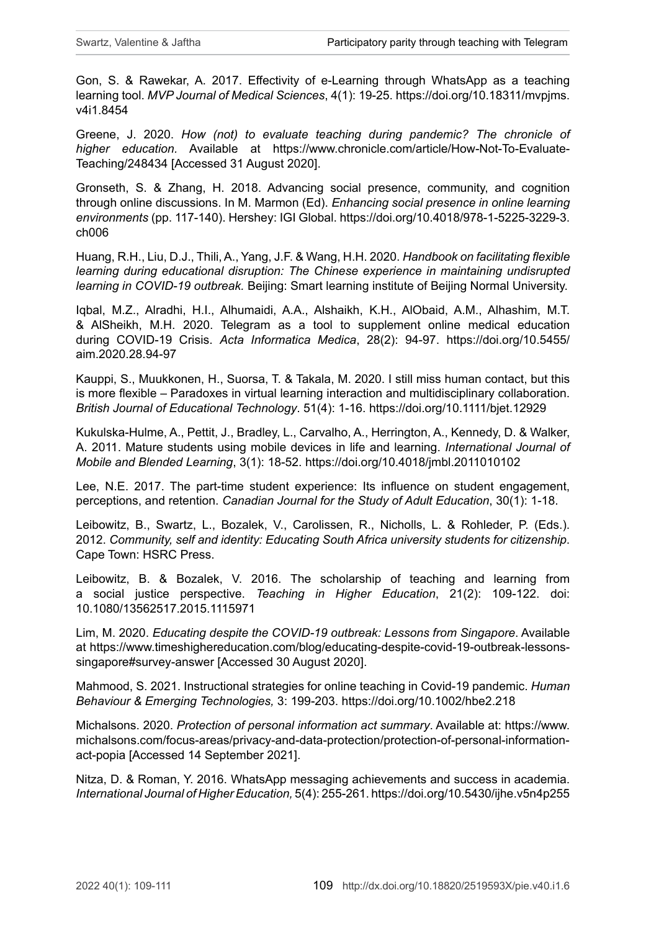Gon, S. & Rawekar, A. 2017. Effectivity of e-Learning through WhatsApp as a teaching learning tool. *MVP Journal of Medical Sciences*, 4(1): 19-25. [https://doi.org/10.18311/mvpjms.](https://doi.org/10.18311/mvpjms.v4i1.8454) [v4i1.8454](https://doi.org/10.18311/mvpjms.v4i1.8454)

Greene, J. 2020. *How (not) to evaluate teaching during pandemic? The chronicle of higher education.* Available at [https://www.chronicle.com/article/How-Not-To-Evaluate-](https://www.chronicle.com/article/How-Not-To-Evaluate-Teaching/248434)[Teaching/248434](https://www.chronicle.com/article/How-Not-To-Evaluate-Teaching/248434) [Accessed 31 August 2020].

Gronseth, S. & Zhang, H. 2018. Advancing social presence, community, and cognition through online discussions. In M. Marmon (Ed). *Enhancing social presence in online learning environments* (pp. 117-140). Hershey: IGI Global. [https://doi.org/10.4018/978-1-5225-3229-3.](https://doi.org/10.4018/978-1-5225-3229-3.ch006) [ch006](https://doi.org/10.4018/978-1-5225-3229-3.ch006)

Huang, R.H., Liu, D.J., Thili, A., Yang, J.F. & Wang, H.H. 2020. *Handbook on facilitating flexible*  learning during educational disruption: The Chinese experience in maintaining undisrupted *learning in COVID-19 outbreak.* Beijing: Smart learning institute of Beijing Normal University.

Iqbal, M.Z., Alradhi, H.I., Alhumaidi, A.A., Alshaikh, K.H., AlObaid, A.M., Alhashim, M.T. & AlSheikh, M.H. 2020. Telegram as a tool to supplement online medical education during COVID-19 Crisis. *Acta Informatica Medica*, 28(2): 94-97. [https://doi.org/10.5455/](https://doi.org/10.5455/aim.2020.28.94-97) [aim.2020.28.94-97](https://doi.org/10.5455/aim.2020.28.94-97)

Kauppi, S., Muukkonen, H., Suorsa, T. & Takala, M. 2020. I still miss human contact, but this is more flexible – Paradoxes in virtual learning interaction and multidisciplinary collaboration. *British Journal of Educational Technology*. 51(4): 1-16.<https://doi.org/10.1111/bjet.12929>

Kukulska-Hulme, A., Pettit, J., Bradley, L., Carvalho, A., Herrington, A., Kennedy, D. & Walker, A. 2011. Mature students using mobile devices in life and learning. *International Journal of Mobile and Blended Learning*, 3(1): 18-52. <https://doi.org/10.4018/jmbl.2011010102>

Lee, N.E. 2017. The part-time student experience: Its influence on student engagement, perceptions, and retention. *Canadian Journal for the Study of Adult Education*, 30(1): 1-18.

Leibowitz, B., Swartz, L., Bozalek, V., Carolissen, R., Nicholls, L. & Rohleder, P. (Eds.). 2012. *Community, self and identity: Educating South Africa university students for citizenship*. Cape Town: HSRC Press.

Leibowitz, B. & Bozalek, V. 2016. The scholarship of teaching and learning from a social justice perspective. *Teaching in Higher Education*, 21(2): 109-122. doi: 10.1080/13562517.2015.1115971

Lim, M. 2020. *Educating despite the COVID-19 outbreak: Lessons from Singapore*. Available at [https://www.timeshighereducation.com/blog/educating-despite-covid-19-outbreak-lessons](https://www.timeshighereducation.com/blog/educating-despite-covid-19-outbreak-lessons-singapore#survey-answer)[singapore#survey-answer](https://www.timeshighereducation.com/blog/educating-despite-covid-19-outbreak-lessons-singapore#survey-answer) [Accessed 30 August 2020].

Mahmood, S. 2021. Instructional strategies for online teaching in Covid-19 pandemic. *Human Behaviour & Emerging Technologies,* 3: 199-203. <https://doi.org/10.1002/hbe2.218>

Michalsons. 2020. *Protection of personal information act summary*. Available at: [https://www.](https://www.michalsons.com/focus-areas/privacy-and-data-protection/protection-of-personal-information-act-popia) [michalsons.com/focus-areas/privacy-and-data-protection/protection-of-personal-information](https://www.michalsons.com/focus-areas/privacy-and-data-protection/protection-of-personal-information-act-popia)[act-popia](https://www.michalsons.com/focus-areas/privacy-and-data-protection/protection-of-personal-information-act-popia) [Accessed 14 September 2021].

Nitza, D. & Roman, Y. 2016. WhatsApp messaging achievements and success in academia. *International Journal of Higher Education,* 5(4): 255-261.<https://doi.org/10.5430/ijhe.v5n4p255>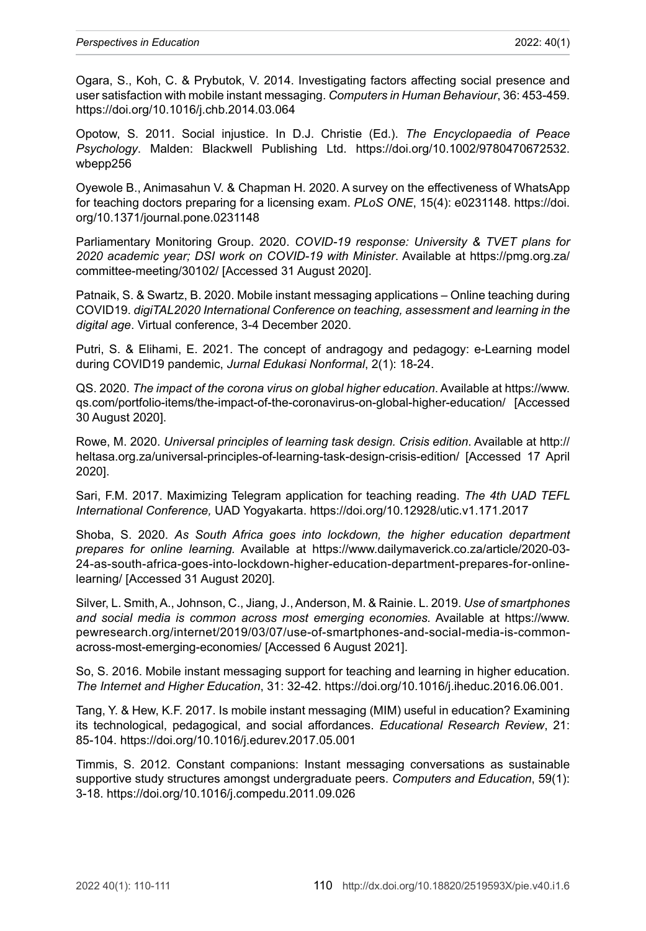Ogara, S., Koh, C. & Prybutok, V. 2014. Investigating factors affecting social presence and user satisfaction with mobile instant messaging. *Computers in Human Behaviour*, 36: 453-459. <https://doi.org/10.1016/j.chb.2014.03.064>

Opotow, S. 2011. Social injustice. In D.J. Christie (Ed.). *The Encyclopaedia of Peace Psychology*. Malden: Blackwell Publishing Ltd. [https://doi.org/10.1002/9780470672532.](https://doi.org/10.1002/9780470672532.wbepp256) [wbepp256](https://doi.org/10.1002/9780470672532.wbepp256)

Oyewole B., Animasahun V. & Chapman H. 2020. A survey on the effectiveness of WhatsApp for teaching doctors preparing for a licensing exam. *PLoS ONE*, 15(4): e0231148. [https://doi.](https://doi.org/10.1371/journal.pone.0231148) [org/10.1371/journal.pone.0231148](https://doi.org/10.1371/journal.pone.0231148)

Parliamentary Monitoring Group. 2020. *COVID-19 response: University & TVET plans for 2020 academic year; DSI work on COVID-19 with Minister*. Available at [https://pmg.org.za/](https://pmg.org.za/committee-meeting/30102/) [committee-meeting/30102/](https://pmg.org.za/committee-meeting/30102/) [Accessed 31 August 2020].

Patnaik, S. & Swartz, B. 2020. Mobile instant messaging applications – Online teaching during COVID19. *digiTAL2020 International Conference on teaching, assessment and learning in the digital age*. Virtual conference, 3-4 December 2020.

Putri, S. & Elihami, E. 2021. The concept of andragogy and pedagogy: e-Learning model during COVID19 pandemic, *Jurnal Edukasi Nonformal*, 2(1): 18-24.

QS. 2020. *The impact of the corona virus on global higher education*. Available at [https://www.](https://www.qs.com/portfolio-items/the-impact-of-the-coronavirus-on-global-higher-education/) [qs.com/portfolio-items/the-impact-of-the-coronavirus-on-global-higher-education/](https://www.qs.com/portfolio-items/the-impact-of-the-coronavirus-on-global-higher-education/) [Accessed 30 August 2020].

Rowe, M. 2020. *Universal principles of learning task design. Crisis edition*. Available at [http://](http://heltasa.org.za/universal-principles-of-learning-task-design-crisis-edition/) [heltasa.org.za/universal-principles-of-learning-task-design-crisis-edition/](http://heltasa.org.za/universal-principles-of-learning-task-design-crisis-edition/) [Accessed 17 April 2020].

Sari, F.M. 2017. Maximizing Telegram application for teaching reading. *The 4th UAD TEFL International Conference,* UAD Yogyakarta.<https://doi.org/10.12928/utic.v1.171.2017>

Shoba, S. 2020. *As South Africa goes into lockdown, the higher education department prepares for online learning.* Available at [https://www.dailymaverick.co.za/article/2020-03-](https://www.dailymaverick.co.za/article/2020-03-24-as-south-africa-goes-into-lockdown-higher-education-department-prepares-for-online-learning/) [24-as-south-africa-goes-into-lockdown-higher-education-department-prepares-for-online](https://www.dailymaverick.co.za/article/2020-03-24-as-south-africa-goes-into-lockdown-higher-education-department-prepares-for-online-learning/)[learning/](https://www.dailymaverick.co.za/article/2020-03-24-as-south-africa-goes-into-lockdown-higher-education-department-prepares-for-online-learning/) [Accessed 31 August 2020].

Silver, L. Smith, A., Johnson, C., Jiang, J., Anderson, M. & Rainie. L. 2019. *Use of smartphones and social media is common across most emerging economies.* Available at [https://www.](https://www.pewresearch.org/internet/2019/03/07/use-of-smartphones-and-social-media-is-common-across-most-emerging-economies/) [pewresearch.org/internet/2019/03/07/use-of-smartphones-and-social-media-is-common](https://www.pewresearch.org/internet/2019/03/07/use-of-smartphones-and-social-media-is-common-across-most-emerging-economies/)[across-most-emerging-economies/](https://www.pewresearch.org/internet/2019/03/07/use-of-smartphones-and-social-media-is-common-across-most-emerging-economies/) [Accessed 6 August 2021].

So, S. 2016. Mobile instant messaging support for teaching and learning in higher education. *The Internet and Higher Education*, 31: 32-42. [https://doi.org/10.1016/j.iheduc.2016.06.001.](https://doi.org/10.1016/j.iheduc.2016.06.001)

Tang, Y. & Hew, K.F. 2017. Is mobile instant messaging (MIM) useful in education? Examining its technological, pedagogical, and social affordances. *Educational Research Review*, 21: 85-104. <https://doi.org/10.1016/j.edurev.2017.05.001>

Timmis, S. 2012. Constant companions: Instant messaging conversations as sustainable supportive study structures amongst undergraduate peers. *Computers and Education*, 59(1): 3-18. <https://doi.org/10.1016/j.compedu.2011.09.026>